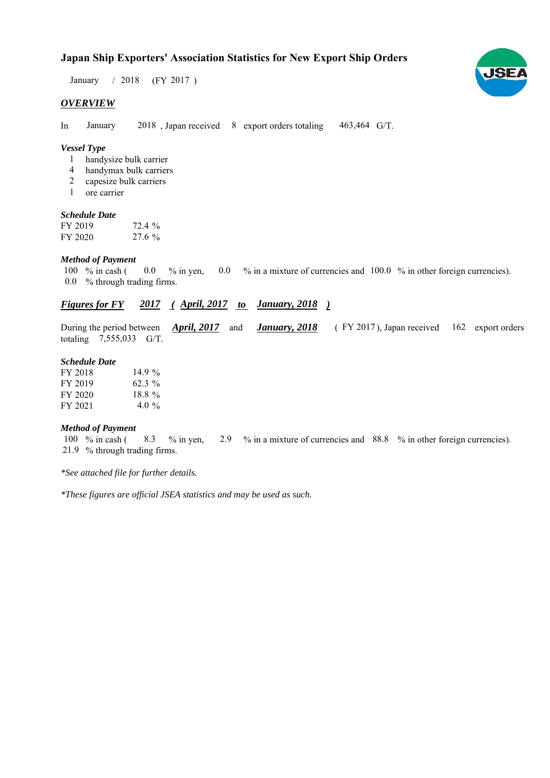# **Japan Ship Exporters' Association Statistics for New Export Ship Orders**

 $/ 2018$  (FY 2017) January / 2018

#### *OVERVIEW*

In January 2018, Japan received 8 export orders totaling 463,464 G/T. January

#### *Vessel Type*

- handysize bulk carrier 1
- handymax bulk carriers 4
- capesize bulk carriers 2
- ore carrier 1

#### *Schedule Date*

| FY 2019 | 72.4 %   |
|---------|----------|
| FY 2020 | $27.6\%$ |

#### *Method of Payment*

% in cash ( $\ 0.0\ 8$  in yen,  $\ 0.0\ 8$  in a mixture of currencies and  $\ 100.0\ 8$  in other foreign currencies). % through trading firms. 0.0 100 % in cash ( 0.0

## *Figures for FY* 2017 (*April, 2017 to January, 2018*)

During the period between *April, 2017* and *January, 2018* (FY 2017), Japan received 162 export orders totaling  $7,555,033$  G/T. During the period between *April, 2017* and

#### *Schedule Date*

| FY 2018 | 14.9 $\%$ |
|---------|-----------|
| FY 2019 | $62.3\%$  |
| FY 2020 | $18.8 \%$ |
| FY 2021 | 4.0 $\%$  |

### *Method of Payment*

% in cash ( $\frac{8.3}{8}$  % in yen,  $\frac{2.9}{8}$  % in a mixture of currencies and  $\frac{88.8}{8}$  % in other foreign currencies). % through trading firms. 21.9 100  $%$  in cash (

*\*See attached file for further details.*

*\*These figures are official JSEA statistics and may be used as such.*

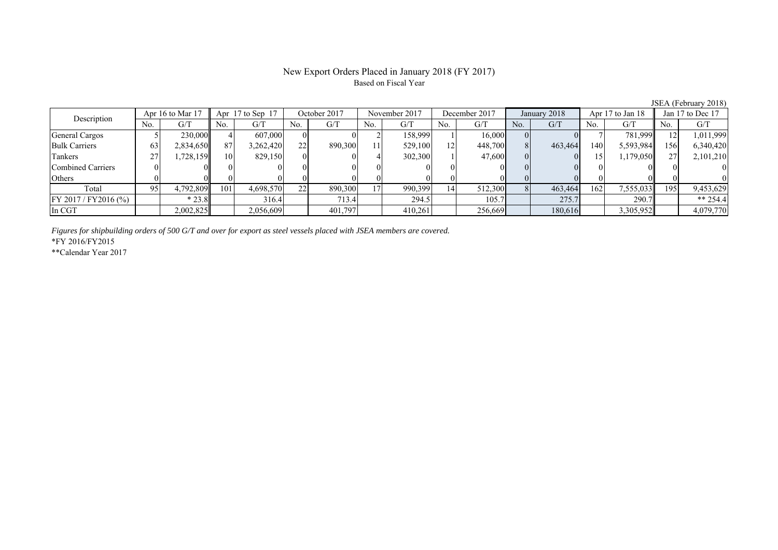# Based on Fiscal Year

No. G/T No. G/T No. G/T No. G/T No. G/T No. G/T No. G/T No. G/T General Cargos ( 5 230,000 4 607,000 0 0 2 158,999 1 16,000 0 0 7 781,999 12 1,011,999 Bulk Carriers 63 2,834,650 87 3,262,420 22 890,300 11 529,100 12 448,700 8 463,464 140 5,593,984 156 6,340,420 Tankers | 27 | 1,728,159 || 10 | 829,150 | 0 | 4 | 302,300 | 1 | 47,600 | 0 | 0 | 15 | 1,179,050 | 27 | 2,101,210 Combined Carriers 0 0 0 0 0 0 0 0 0 0 0 0 0 0 0 0 Others | 0 | 0 || 0 || 0 || 0 || 0 || 0 || 0 || 0 || 0 || 0 | Total 95 4,792,809 101 4,698,570 22 890,300 17 990,399 14 512,300 8 463,464 162 7,555,033 195 9,453,629 FY 2017 / FY2016 (%) \* 23.8 316.4 713.4 294.5 105.7 275.7 290.7 \*\* 254.4 In CGT | | 2,002,825|| | 2,056,609| | 401,797| | 410,261| | 256,669| | 180,616| | 3,305,952|| | 4,079,770 Apr 16 to Mar 17 Apr 17 to Sep 17 October 2017 November 2017 Jan 17 to Dec 17 Description December 2017 January 2018 Apr 17 to Jan 18

*Figures for shipbuilding orders of 500 G/T and over for export as steel vessels placed with JSEA members are covered.*

\*FY 2016/FY2015

\*\*Calendar Year 2017

JSEA (February 2018)

# New Export Orders Placed in January 2018 (FY 2017)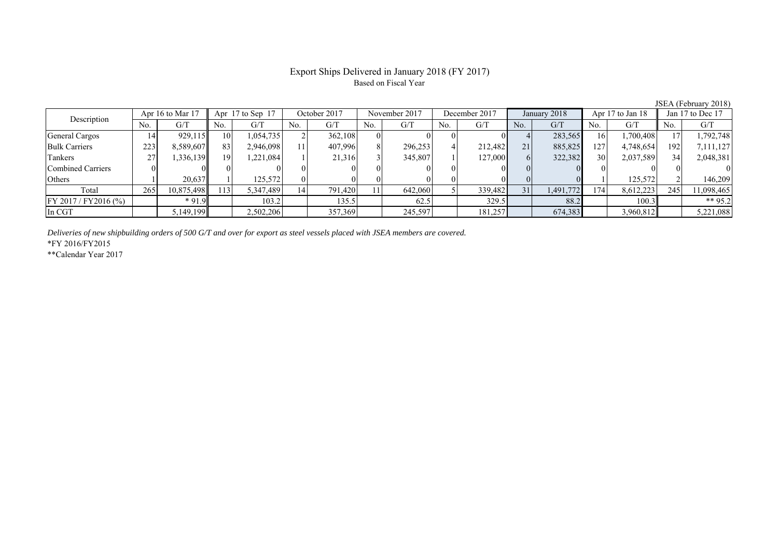## Export Ships Delivered in January 2018 (FY 2017) Based on Fiscal Year

| Apr 16 to Mar 17<br>Description | Apr $17$ to Sep $17$ |            | October 2017 |           | November 2017 |         | December 2017 |         | January 2018 |         | Apr 17 to Jan 18 |           | Jan 17 to Dec 17 |           |     |            |
|---------------------------------|----------------------|------------|--------------|-----------|---------------|---------|---------------|---------|--------------|---------|------------------|-----------|------------------|-----------|-----|------------|
|                                 | No.                  | G/T        | No.          | G/T       | No.           | G/T     | No.           | G/T     | No.          | G/T     | No.              | G/T       | No.              | G/T       | No. | G/T        |
| General Cargos                  | 14                   | 929,115    | 10           | 1,054,735 |               | 362,108 | $\Omega$      |         |              |         |                  | 283,565   | 16               | 1,700,408 |     | 1,792,748  |
| <b>Bulk Carriers</b>            | 223                  | 8,589,607  | 83           | 2,946,098 |               | 407,996 |               | 296,253 |              | 212.482 | 21               | 885,825   | 127              | 4,748,654 | 192 | 7,111,127  |
| Tankers                         | 27                   | .336.139   | 19           | .221,084  |               | 21,316  |               | 345,807 |              | 127,000 | 61               | 322,382   | 30               | 2,037,589 | 34  | 2,048,381  |
| Combined Carriers               |                      |            |              |           |               |         |               |         |              |         |                  |           |                  |           |     |            |
| <b>Others</b>                   |                      | 20.637     |              | 125.572   |               |         |               |         |              |         |                  |           |                  | 125,572   |     | 146.209    |
| Total                           | 265                  | 10,875,498 | 13           | 5,347,489 | 14            | 791.420 |               | 642,060 |              | 339,482 | 31               | 1,491,772 | 174.             | 8,612,223 | 245 | 11,098,465 |
| $FY 2017 / FY 2016$ (%)         |                      | $*91.9$    |              | 103.2     |               | 135.5   |               | 62.5    |              | 329.5   |                  | 88.2      |                  | 100.3     |     | ** 95.2    |
| In CGT                          |                      | 5,149,199  |              | 2,502,206 |               | 357,369 |               | 245,597 |              | 181,257 |                  | 674,383   |                  | 3,960,812 |     | 5,221,088  |

*Deliveries of new shipbuilding orders of 500 G/T and over for export as steel vessels placed with JSEA members are covered.*

\*FY 2016/FY2015

\*\*Calendar Year 2017

JSEA (February 2018)